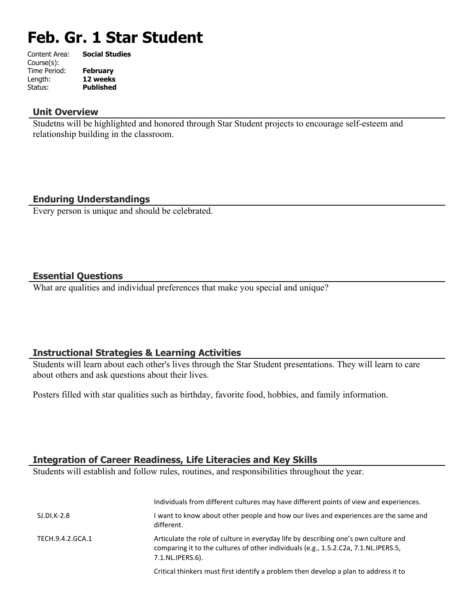# **Feb. Gr. 1 Star Student**

| Content Area: | <b>Social Studies</b> |
|---------------|-----------------------|
| Course(s):    |                       |
| Time Period:  | <b>February</b>       |
| Length:       | 12 weeks              |
| Status:       | <b>Published</b>      |
|               |                       |

#### **Unit Overview**

Studetns will be highlighted and honored through Star Student projects to encourage self-esteem and relationship building in the classroom.

## **Enduring Understandings**

Every person is unique and should be celebrated.

#### **Essential Questions**

What are qualities and individual preferences that make you special and unique?

## **Instructional Strategies & Learning Activities**

Students will learn about each other's lives through the Star Student presentations. They will learn to care about others and ask questions about their lives.

Posters filled with star qualities such as birthday, favorite food, hobbies, and family information.

#### **Integration of Career Readiness, Life Literacies and Key Skills**

Students will establish and follow rules, routines, and responsibilities throughout the year.

|                  | Individuals from different cultures may have different points of view and experiences.                                                                                                         |
|------------------|------------------------------------------------------------------------------------------------------------------------------------------------------------------------------------------------|
| $SLDI.K-2.8$     | I want to know about other people and how our lives and experiences are the same and<br>different.                                                                                             |
| TECH.9.4.2.GCA.1 | Articulate the role of culture in everyday life by describing one's own culture and<br>comparing it to the cultures of other individuals (e.g., 1.5.2.C2a, 7.1.NL.IPERS.5,<br>7.1.NL.IPERS.6). |
|                  | Critical thinkers must first identify a problem then develop a plan to address it to                                                                                                           |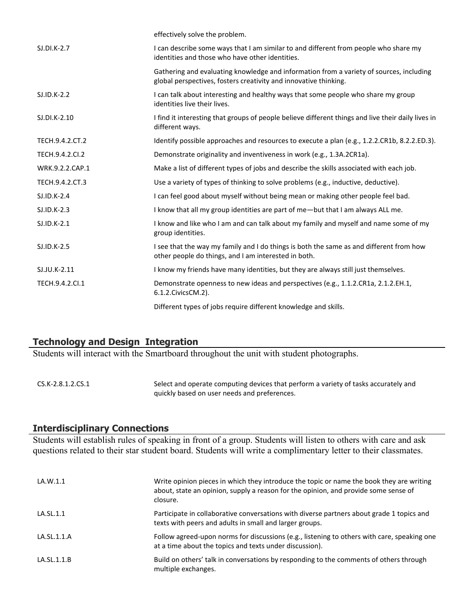|                 | effectively solve the problem.                                                                                                                              |
|-----------------|-------------------------------------------------------------------------------------------------------------------------------------------------------------|
| $SJ.DI.K-2.7$   | I can describe some ways that I am similar to and different from people who share my<br>identities and those who have other identities.                     |
|                 | Gathering and evaluating knowledge and information from a variety of sources, including<br>global perspectives, fosters creativity and innovative thinking. |
| $SI.ID.K-2.2$   | I can talk about interesting and healthy ways that some people who share my group<br>identities live their lives.                                           |
| SJ.DI.K-2.10    | I find it interesting that groups of people believe different things and live their daily lives in<br>different ways.                                       |
| TECH.9.4.2.CT.2 | Identify possible approaches and resources to execute a plan (e.g., 1.2.2.CR1b, 8.2.2.ED.3).                                                                |
| TECH.9.4.2.CI.2 | Demonstrate originality and inventiveness in work (e.g., 1.3A.2CR1a).                                                                                       |
| WRK.9.2.2.CAP.1 | Make a list of different types of jobs and describe the skills associated with each job.                                                                    |
| TECH.9.4.2.CT.3 | Use a variety of types of thinking to solve problems (e.g., inductive, deductive).                                                                          |
| $SJ.ID.K-2.4$   | I can feel good about myself without being mean or making other people feel bad.                                                                            |
| SJ.ID.K-2.3     | I know that all my group identities are part of me-but that I am always ALL me.                                                                             |
| $SJ.ID.K-2.1$   | I know and like who I am and can talk about my family and myself and name some of my<br>group identities.                                                   |
| SJ.ID.K-2.5     | I see that the way my family and I do things is both the same as and different from how<br>other people do things, and I am interested in both.             |
| SJ.JU.K-2.11    | I know my friends have many identities, but they are always still just themselves.                                                                          |
| TECH.9.4.2.CI.1 | Demonstrate openness to new ideas and perspectives (e.g., 1.1.2.CR1a, 2.1.2.EH.1,<br>6.1.2. Civics CM. 2).                                                  |
|                 | Different types of jobs require different knowledge and skills.                                                                                             |

## **Technology and Design Integration**

Students will interact with the Smartboard throughout the unit with student photographs.

CS.K-2.8.1.2.CS.1 Select and operate computing devices that perform a variety of tasks accurately and quickly based on user needs and preferences.

#### **Interdisciplinary Connections**

Students will establish rules of speaking in front of a group. Students will listen to others with care and ask questions related to their star student board. Students will write a complimentary letter to their classmates.

| LA.W.1.1    | Write opinion pieces in which they introduce the topic or name the book they are writing<br>about, state an opinion, supply a reason for the opinion, and provide some sense of<br>closure. |
|-------------|---------------------------------------------------------------------------------------------------------------------------------------------------------------------------------------------|
| LA.SL.1.1   | Participate in collaborative conversations with diverse partners about grade 1 topics and<br>texts with peers and adults in small and larger groups.                                        |
| LA.SL.1.1.A | Follow agreed-upon norms for discussions (e.g., listening to others with care, speaking one<br>at a time about the topics and texts under discussion).                                      |
| LA.SL.1.1.B | Build on others' talk in conversations by responding to the comments of others through<br>multiple exchanges.                                                                               |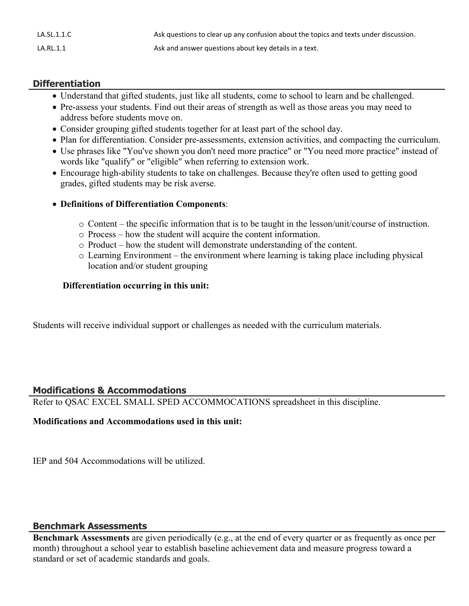| LA.SL.1.1.C | Ask questions to clear up any confusion about the topics and texts under discussion. |
|-------------|--------------------------------------------------------------------------------------|
| LA.RL.1.1   | Ask and answer questions about key details in a text.                                |

## **Differentiation**

- Understand that gifted students, just like all students, come to school to learn and be challenged.
- Pre-assess your students. Find out their areas of strength as well as those areas you may need to address before students move on.
- Consider grouping gifted students together for at least part of the school day.
- Plan for differentiation. Consider pre-assessments, extension activities, and compacting the curriculum.
- Use phrases like "You've shown you don't need more practice" or "You need more practice" instead of words like "qualify" or "eligible" when referring to extension work.
- Encourage high-ability students to take on challenges. Because they're often used to getting good grades, gifted students may be risk averse.

#### **Definitions of Differentiation Components**:

- $\circ$  Content the specific information that is to be taught in the lesson/unit/course of instruction.
- o Process how the student will acquire the content information.
- o Product how the student will demonstrate understanding of the content.
- o Learning Environment the environment where learning is taking place including physical location and/or student grouping

#### **Differentiation occurring in this unit:**

Students will receive individual support or challenges as needed with the curriculum materials.

#### **Modifications & Accommodations**

Refer to QSAC EXCEL SMALL SPED ACCOMMOCATIONS spreadsheet in this discipline.

#### **Modifications and Accommodations used in this unit:**

IEP and 504 Accommodations will be utilized.

#### **Benchmark Assessments**

**Benchmark Assessments** are given periodically (e.g., at the end of every quarter or as frequently as once per month) throughout a school year to establish baseline achievement data and measure progress toward a standard or set of academic standards and goals.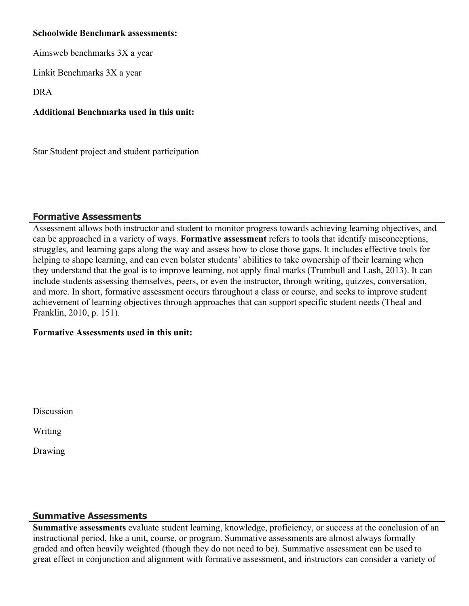#### **Schoolwide Benchmark assessments:**

Aimsweb benchmarks 3X a year

Linkit Benchmarks 3X a year

DRA

## **Additional Benchmarks used in this unit:**

Star Student project and student participation

## **Formative Assessments**

Assessment allows both instructor and student to monitor progress towards achieving learning objectives, and can be approached in a variety of ways. **Formative assessment** refers to tools that identify misconceptions, struggles, and learning gaps along the way and assess how to close those gaps. It includes effective tools for helping to shape learning, and can even bolster students' abilities to take ownership of their learning when they understand that the goal is to improve learning, not apply final marks (Trumbull and Lash, 2013). It can include students assessing themselves, peers, or even the instructor, through writing, quizzes, conversation, and more. In short, formative assessment occurs throughout a class or course, and seeks to improve student achievement of learning objectives through approaches that can support specific student needs (Theal and Franklin, 2010, p. 151).

## **Formative Assessments used in this unit:**

Discussion

Writing

Drawing

# **Summative Assessments**

**Summative assessments** evaluate student learning, knowledge, proficiency, or success at the conclusion of an instructional period, like a unit, course, or program. Summative assessments are almost always formally graded and often heavily weighted (though they do not need to be). Summative assessment can be used to great effect in conjunction and alignment with formative assessment, and instructors can consider a variety of